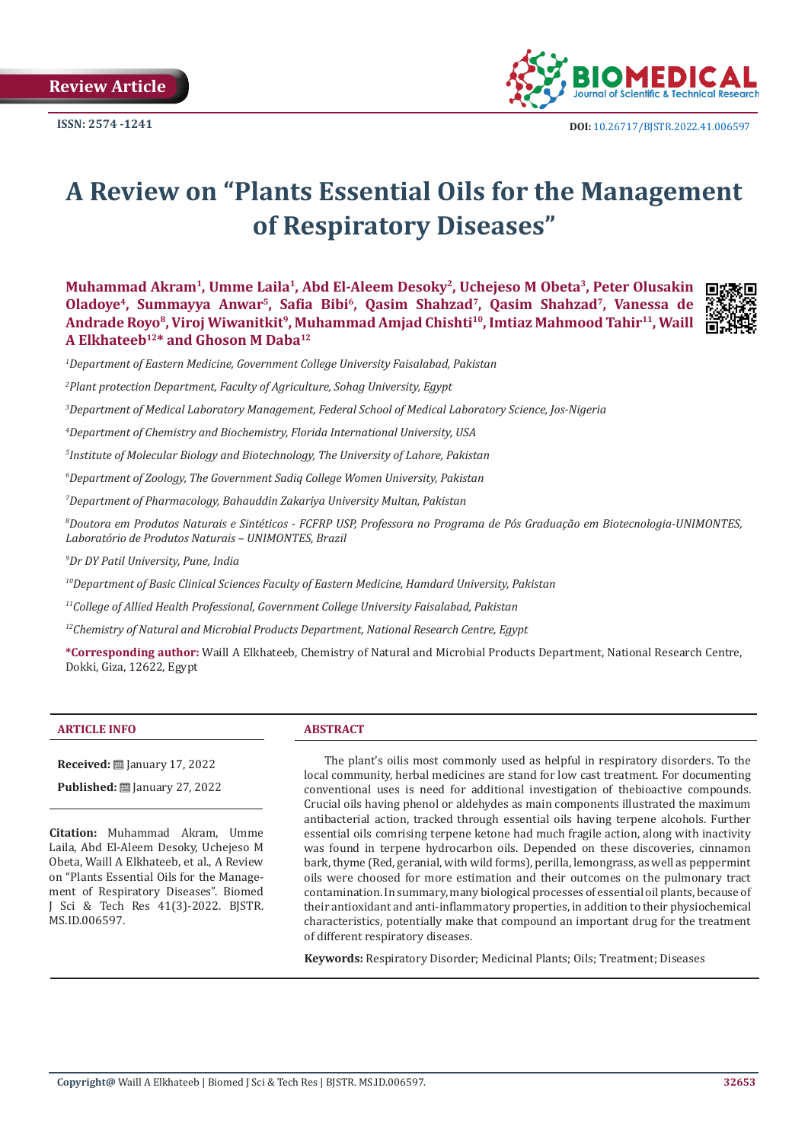**Review Article** 



# **A Review on "Plants Essential Oils for the Management of Respiratory Diseases"**

**Muhammad Akram1, Umme Laila1, Abd El-Aleem Desoky2, Uchejeso M Obeta3, Peter Olusakin Oladoye4, Summayya Anwar5, Safia Bibi6, Qasim Shahzad7, Qasim Shahzad7, Vanessa de**  Andrade Royo<sup>8</sup>, Viroj Wiwanitkit<sup>9</sup>, Muhammad Amjad Chishti<sup>10</sup>, Imtiaz Mahmood Tahir<sup>11</sup>, Waill **A Elkhateeb12\* and Ghoson M Daba12**



*2 Plant protection Department, Faculty of Agriculture, Sohag University, Egypt*

*3 Department of Medical Laboratory Management, Federal School of Medical Laboratory Science, Jos-Nigeria*

*4 Department of Chemistry and Biochemistry, Florida International University, USA*

*5 Institute of Molecular Biology and Biotechnology, The University of Lahore, Pakistan*

*6 Department of Zoology, The Government Sadiq College Women University, Pakistan*

*7 Department of Pharmacology, Bahauddin Zakariya University Multan, Pakistan* 

*8 Doutora em Produtos Naturais e Sintéticos - FCFRP USP, Professora no Programa de Pós Graduação em Biotecnologia-UNIMONTES, Laboratório de Produtos Naturais – UNIMONTES, Brazil*

*9 Dr DY Patil University, Pune, India*

*10Department of Basic Clinical Sciences Faculty of Eastern Medicine, Hamdard University, Pakistan*

*11College of Allied Health Professional, Government College University Faisalabad, Pakistan*

*12Chemistry of Natural and Microbial Products Department, National Research Centre, Egypt* 

**\*Corresponding author:** Waill A Elkhateeb, Chemistry of Natural and Microbial Products Department, National Research Centre, Dokki, Giza, 12622, Egypt

#### **ARTICLE INFO ABSTRACT**

**Received:** January 17, 2022

**Published:** ■ January 27, 2022

**Citation:** Muhammad Akram, Umme Laila, Abd El-Aleem Desoky, Uchejeso M Obeta, Waill A Elkhateeb, et al., A Review on "Plants Essential Oils for the Management of Respiratory Diseases". Biomed J Sci & Tech Res 41(3)-2022. BJSTR. MS.ID.006597.

The plant's oilis most commonly used as helpful in respiratory disorders. To the local community, herbal medicines are stand for low cast treatment. For documenting conventional uses is need for additional investigation of thebioactive compounds. Crucial oils having phenol or aldehydes as main components illustrated the maximum antibacterial action, tracked through essential oils having terpene alcohols. Further essential oils comrising terpene ketone had much fragile action, along with inactivity was found in terpene hydrocarbon oils. Depended on these discoveries, cinnamon bark, thyme (Red, geranial, with wild forms), perilla, lemongrass, as well as peppermint oils were choosed for more estimation and their outcomes on the pulmonary tract contamination. In summary, many biological processes of essential oil plants, because of their antioxidant and anti-inflammatory properties, in addition to their physiochemical characteristics, potentially make that compound an important drug for the treatment of different respiratory diseases.

**Keywords:** Respiratory Disorder; Medicinal Plants; Oils; Treatment; Diseases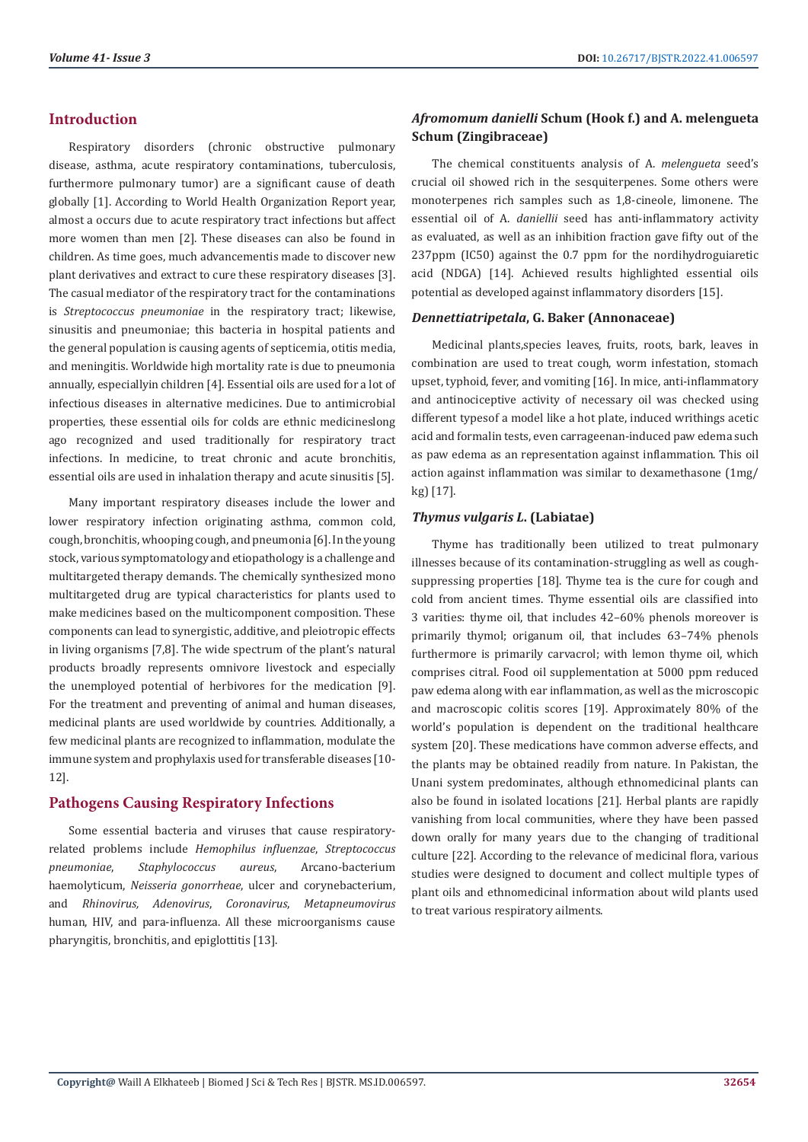# **Introduction**

Respiratory disorders (chronic obstructive pulmonary disease, asthma, acute respiratory contaminations, tuberculosis, furthermore pulmonary tumor) are a significant cause of death globally [1]. According to World Health Organization Report year, almost a occurs due to acute respiratory tract infections but affect more women than men [2]. These diseases can also be found in children. As time goes, much advancementis made to discover new plant derivatives and extract to cure these respiratory diseases [3]. The casual mediator of the respiratory tract for the contaminations is *Streptococcus pneumoniae* in the respiratory tract; likewise, sinusitis and pneumoniae; this bacteria in hospital patients and the general population is causing agents of septicemia, otitis media, and meningitis. Worldwide high mortality rate is due to pneumonia annually, especiallyin children [4]. Essential oils are used for a lot of infectious diseases in alternative medicines. Due to antimicrobial properties, these essential oils for colds are ethnic medicineslong ago recognized and used traditionally for respiratory tract infections. In medicine, to treat chronic and acute bronchitis, essential oils are used in inhalation therapy and acute sinusitis [5].

Many important respiratory diseases include the lower and lower respiratory infection originating asthma, common cold, cough, bronchitis, whooping cough, and pneumonia [6]. In the young stock, various symptomatology and etiopathology is a challenge and multitargeted therapy demands. The chemically synthesized mono multitargeted drug are typical characteristics for plants used to make medicines based on the multicomponent composition. These components can lead to synergistic, additive, and pleiotropic effects in living organisms [7,8]. The wide spectrum of the plant's natural products broadly represents omnivore livestock and especially the unemployed potential of herbivores for the medication [9]. For the treatment and preventing of animal and human diseases, medicinal plants are used worldwide by countries. Additionally, a few medicinal plants are recognized to inflammation, modulate the immune system and prophylaxis used for transferable diseases [10- 12].

# **Pathogens Causing Respiratory Infections**

Some essential bacteria and viruses that cause respiratoryrelated problems include *Hemophilus influenzae*, *Streptococcus pneumoniae*, *Staphylococcus aureus*, Arcano-bacterium haemolyticum, *Neisseria gonorrheae*, ulcer and corynebacterium, and *Rhinovirus, Adenovirus*, *Coronavirus*, *Metapneumovirus* human, HIV, and para-influenza. All these microorganisms cause pharyngitis, bronchitis, and epiglottitis [13].

# *Afromomum danielli* **Schum (Hook f.) and A. melengueta Schum (Zingibraceae)**

The chemical constituents analysis of A. *melengueta* seed's crucial oil showed rich in the sesquiterpenes. Some others were monoterpenes rich samples such as 1,8-cineole, limonene. The essential oil of A. *daniellii* seed has anti-inflammatory activity as evaluated, as well as an inhibition fraction gave fifty out of the 237ppm (IC50) against the 0.7 ppm for the nordihydroguiaretic acid (NDGA) [14]. Achieved results highlighted essential oils potential as developed against inflammatory disorders [15].

#### *Dennettiatripetala***, G. Baker (Annonaceae)**

Medicinal plants,species leaves, fruits, roots, bark, leaves in combination are used to treat cough, worm infestation, stomach upset, typhoid, fever, and vomiting [16]. In mice, anti-inflammatory and antinociceptive activity of necessary oil was checked using different typesof a model like a hot plate, induced writhings acetic acid and formalin tests, even carrageenan-induced paw edema such as paw edema as an representation against inflammation. This oil action against inflammation was similar to dexamethasone (1mg/ kg) [17].

#### *Thymus vulgaris L***. (Labiatae)**

Thyme has traditionally been utilized to treat pulmonary illnesses because of its contamination-struggling as well as coughsuppressing properties [18]. Thyme tea is the cure for cough and cold from ancient times. Thyme essential oils are classified into 3 varities: thyme oil, that includes 42–60% phenols moreover is primarily thymol; origanum oil, that includes 63–74% phenols furthermore is primarily carvacrol; with lemon thyme oil, which comprises citral. Food oil supplementation at 5000 ppm reduced paw edema along with ear inflammation, as well as the microscopic and macroscopic colitis scores [19]. Approximately 80% of the world's population is dependent on the traditional healthcare system [20]. These medications have common adverse effects, and the plants may be obtained readily from nature. In Pakistan, the Unani system predominates, although ethnomedicinal plants can also be found in isolated locations [21]. Herbal plants are rapidly vanishing from local communities, where they have been passed down orally for many years due to the changing of traditional culture [22]. According to the relevance of medicinal flora, various studies were designed to document and collect multiple types of plant oils and ethnomedicinal information about wild plants used to treat various respiratory ailments.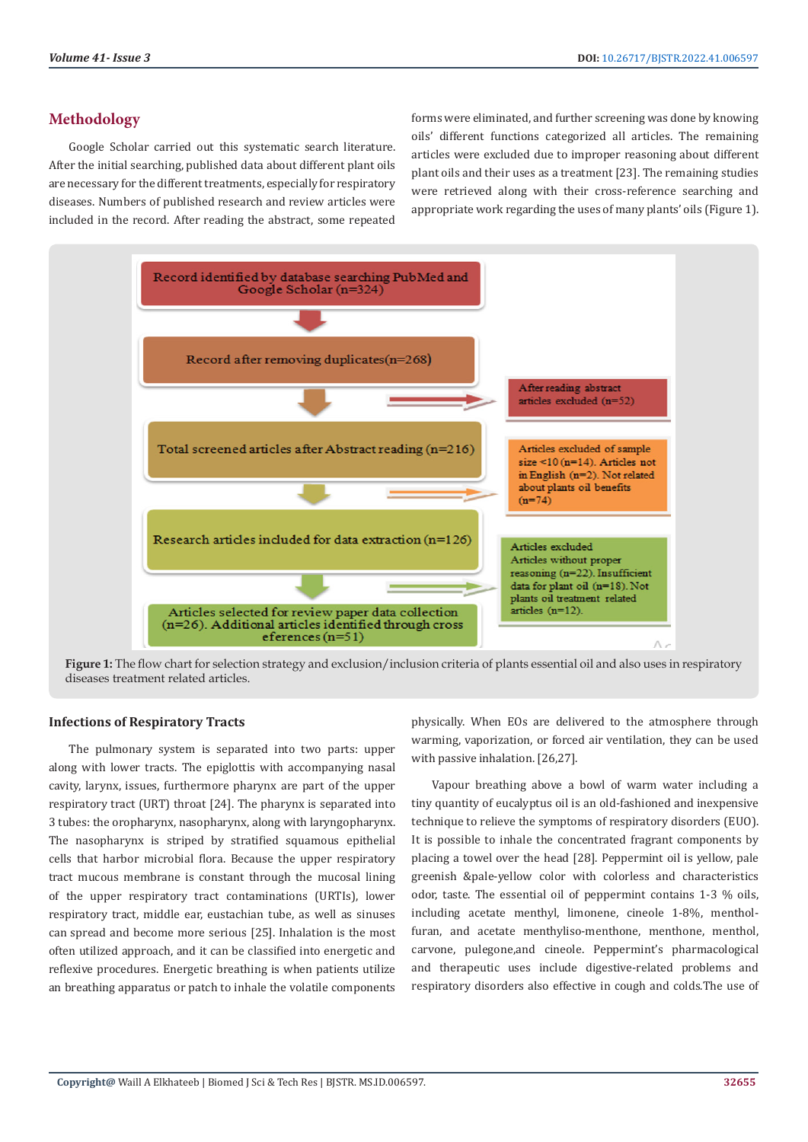# **Methodology**

Google Scholar carried out this systematic search literature. After the initial searching, published data about different plant oils are necessary for the different treatments, especially for respiratory diseases. Numbers of published research and review articles were included in the record. After reading the abstract, some repeated

forms were eliminated, and further screening was done by knowing oils' different functions categorized all articles. The remaining articles were excluded due to improper reasoning about different plant oils and their uses as a treatment [23]. The remaining studies were retrieved along with their cross-reference searching and appropriate work regarding the uses of many plants' oils (Figure 1).



**Figure 1:** The flow chart for selection strategy and exclusion/inclusion criteria of plants essential oil and also uses in respiratory diseases treatment related articles.

#### **Infections of Respiratory Tracts**

The pulmonary system is separated into two parts: upper along with lower tracts. The epiglottis with accompanying nasal cavity, larynx, issues, furthermore pharynx are part of the upper respiratory tract (URT) throat [24]. The pharynx is separated into 3 tubes: the oropharynx, nasopharynx, along with laryngopharynx. The nasopharynx is striped by stratified squamous epithelial cells that harbor microbial flora. Because the upper respiratory tract mucous membrane is constant through the mucosal lining of the upper respiratory tract contaminations (URTIs), lower respiratory tract, middle ear, eustachian tube, as well as sinuses can spread and become more serious [25]. Inhalation is the most often utilized approach, and it can be classified into energetic and reflexive procedures. Energetic breathing is when patients utilize an breathing apparatus or patch to inhale the volatile components

physically. When EOs are delivered to the atmosphere through warming, vaporization, or forced air ventilation, they can be used with passive inhalation. [26,27].

Vapour breathing above a bowl of warm water including a tiny quantity of eucalyptus oil is an old-fashioned and inexpensive technique to relieve the symptoms of respiratory disorders (EUO). It is possible to inhale the concentrated fragrant components by placing a towel over the head [28]. Peppermint oil is yellow, pale greenish &pale-yellow color with colorless and characteristics odor, taste. The essential oil of peppermint contains 1-3 % oils, including acetate menthyl, limonene, cineole 1-8%, mentholfuran, and acetate menthyliso-menthone, menthone, menthol, carvone, pulegone,and cineole. Peppermint's pharmacological and therapeutic uses include digestive-related problems and respiratory disorders also effective in cough and colds.The use of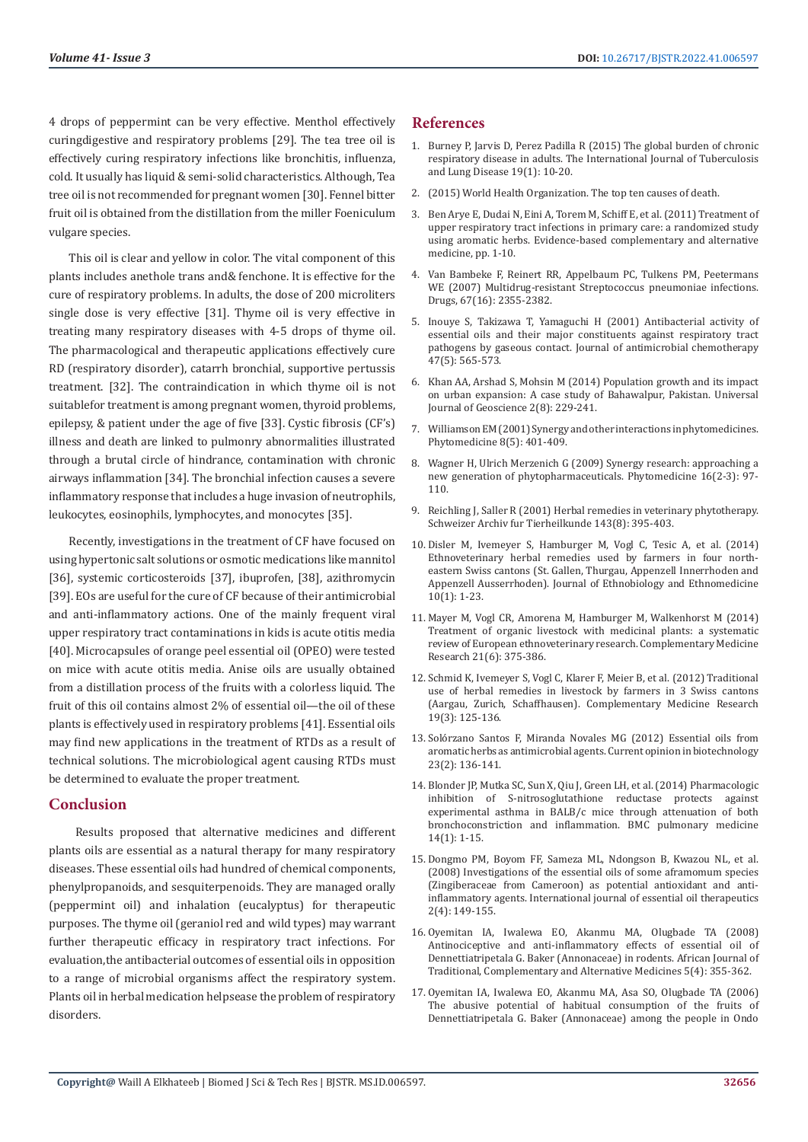4 drops of peppermint can be very effective. Menthol effectively curingdigestive and respiratory problems [29]. The tea tree oil is effectively curing respiratory infections like bronchitis, influenza, cold. It usually has liquid & semi-solid characteristics. Although, Tea tree oil is not recommended for pregnant women [30]. Fennel bitter fruit oil is obtained from the distillation from the miller Foeniculum vulgare species.

This oil is clear and yellow in color. The vital component of this plants includes anethole trans and& fenchone. It is effective for the cure of respiratory problems. In adults, the dose of 200 microliters single dose is very effective [31]. Thyme oil is very effective in treating many respiratory diseases with 4-5 drops of thyme oil. The pharmacological and therapeutic applications effectively cure RD (respiratory disorder), catarrh bronchial, supportive pertussis treatment. [32]. The contraindication in which thyme oil is not suitablefor treatment is among pregnant women, thyroid problems, epilepsy, & patient under the age of five [33]. Cystic fibrosis (CF's) illness and death are linked to pulmonry abnormalities illustrated through a brutal circle of hindrance, contamination with chronic airways inflammation [34]. The bronchial infection causes a severe inflammatory response that includes a huge invasion of neutrophils, leukocytes, eosinophils, lymphocytes, and monocytes [35].

Recently, investigations in the treatment of CF have focused on using hypertonic salt solutions or osmotic medications like mannitol [36], systemic corticosteroids [37], ibuprofen, [38], azithromycin [39]. EOs are useful for the cure of CF because of their antimicrobial and anti-inflammatory actions. One of the mainly frequent viral upper respiratory tract contaminations in kids is acute otitis media [40]. Microcapsules of orange peel essential oil (OPEO) were tested on mice with acute otitis media. Anise oils are usually obtained from a distillation process of the fruits with a colorless liquid. The fruit of this oil contains almost 2% of essential oil—the oil of these plants is effectively used in respiratory problems [41]. Essential oils may find new applications in the treatment of RTDs as a result of technical solutions. The microbiological agent causing RTDs must be determined to evaluate the proper treatment.

# **Conclusion**

 Results proposed that alternative medicines and different plants oils are essential as a natural therapy for many respiratory diseases. These essential oils had hundred of chemical components, phenylpropanoids, and sesquiterpenoids. They are managed orally (peppermint oil) and inhalation (eucalyptus) for therapeutic purposes. The thyme oil (geraniol red and wild types) may warrant further therapeutic efficacy in respiratory tract infections. For evaluation,the antibacterial outcomes of essential oils in opposition to a range of microbial organisms affect the respiratory system. Plants oil in herbal medication helpsease the problem of respiratory disorders.

### **References**

- 1. [Burney P, Jarvis D, Perez Padilla R \(2015\) The global burden of chronic](https://pubmed.ncbi.nlm.nih.gov/25519785/) [respiratory disease in adults. The International Journal of Tuberculosis](https://pubmed.ncbi.nlm.nih.gov/25519785/) [and Lung Disease 19\(1\): 10-20.](https://pubmed.ncbi.nlm.nih.gov/25519785/)
- 2. (2015) World Health Organization. The top ten causes of death.
- 3. [Ben Arye E, Dudai N, Eini A, Torem M, Schiff E, et al. \(2011\) Treatment of](https://pubmed.ncbi.nlm.nih.gov/17983256/) [upper respiratory tract infections in primary care: a randomized study](https://pubmed.ncbi.nlm.nih.gov/17983256/) [using aromatic herbs. Evidence-based complementary and alternative](https://pubmed.ncbi.nlm.nih.gov/17983256/) [medicine, pp. 1-10.](https://pubmed.ncbi.nlm.nih.gov/17983256/)
- 4. [Van Bambeke F, Reinert RR, Appelbaum PC, Tulkens PM, Peetermans](https://pubmed.ncbi.nlm.nih.gov/17983256/) [WE \(2007\) Multidrug-resistant Streptococcus pneumoniae infections.](https://pubmed.ncbi.nlm.nih.gov/17983256/) [Drugs, 67\(16\): 2355-2382.](https://pubmed.ncbi.nlm.nih.gov/17983256/)
- 5. [Inouye S, Takizawa T, Yamaguchi H \(2001\) Antibacterial activity of](https://pubmed.ncbi.nlm.nih.gov/11328766/) [essential oils and their major constituents against respiratory tract](https://pubmed.ncbi.nlm.nih.gov/11328766/) [pathogens by gaseous contact. Journal of antimicrobial chemotherapy](https://pubmed.ncbi.nlm.nih.gov/11328766/) [47\(5\): 565-573.](https://pubmed.ncbi.nlm.nih.gov/11328766/)
- 6. [Khan AA, Arshad S, Mohsin M \(2014\) Population growth and its impact](https://pubmed.ncbi.nlm.nih.gov/11695885/) [on urban expansion: A case study of Bahawalpur, Pakistan. Universal](https://pubmed.ncbi.nlm.nih.gov/11695885/) [Journal of Geoscience 2\(8\): 229-241.](https://pubmed.ncbi.nlm.nih.gov/11695885/)
- 7. [Williamson EM \(2001\) Synergy and other interactions in phytomedicines.](https://pubmed.ncbi.nlm.nih.gov/11695885/) [Phytomedicine 8\(5\): 401-409.](https://pubmed.ncbi.nlm.nih.gov/11695885/)
- 8. [Wagner H, Ulrich Merzenich G \(2009\) Synergy research: approaching a](https://pubmed.ncbi.nlm.nih.gov/19211237/) [new generation of phytopharmaceuticals. Phytomedicine 16\(2-3\): 97-](https://pubmed.ncbi.nlm.nih.gov/19211237/) [110.](https://pubmed.ncbi.nlm.nih.gov/19211237/)
- 9. [Reichling J, Saller R \(2001\) Herbal remedies in veterinary phytotherapy.](https://pubmed.ncbi.nlm.nih.gov/11525096/) [Schweizer Archiv fur Tierheilkunde 143\(8\): 395-403.](https://pubmed.ncbi.nlm.nih.gov/11525096/)
- 10. [Disler M, Ivemeyer S, Hamburger M, Vogl C, Tesic A, et al. \(2014\)](https://www.karger.com/Article/Fulltext/370216) [Ethnoveterinary herbal remedies used by farmers in four north](https://www.karger.com/Article/Fulltext/370216)[eastern Swiss cantons \(St. Gallen, Thurgau, Appenzell Innerrhoden and](https://www.karger.com/Article/Fulltext/370216) [Appenzell Ausserrhoden\). Journal of Ethnobiology and Ethnomedicine](https://www.karger.com/Article/Fulltext/370216) [10\(1\): 1-23.](https://www.karger.com/Article/Fulltext/370216)
- 11. [Mayer M, Vogl CR, Amorena M, Hamburger M, Walkenhorst M \(2014\)](https://www.karger.com/Article/Fulltext/370216) [Treatment of organic livestock with medicinal plants: a systematic](https://www.karger.com/Article/Fulltext/370216) [review of European ethnoveterinary research. Complementary Medicine](https://www.karger.com/Article/Fulltext/370216) [Research 21\(6\): 375-386.](https://www.karger.com/Article/Fulltext/370216)
- 12. [Schmid K, Ivemeyer S, Vogl C, Klarer F, Meier B, et al. \(2012\) Traditional](https://pubmed.ncbi.nlm.nih.gov/22759727/) [use of herbal remedies in livestock by farmers in 3 Swiss cantons](https://pubmed.ncbi.nlm.nih.gov/22759727/) [\(Aargau, Zurich, Schaffhausen\). Complementary Medicine Research](https://pubmed.ncbi.nlm.nih.gov/22759727/) [19\(3\): 125-136.](https://pubmed.ncbi.nlm.nih.gov/22759727/)
- 13. [Solórzano Santos F, Miranda Novales MG \(2012\) Essential oils from](https://pubmed.ncbi.nlm.nih.gov/21903378/) [aromatic herbs as antimicrobial agents. Current opinion in biotechnology](https://pubmed.ncbi.nlm.nih.gov/21903378/) [23\(2\): 136-141.](https://pubmed.ncbi.nlm.nih.gov/21903378/)
- 14. [Blonder JP, Mutka SC, Sun X, Qiu J, Green LH, et al. \(2014\) Pharmacologic](https://bmcpulmmed.biomedcentral.com/articles/10.1186/1471-2466-14-3) [inhibition of S-nitrosoglutathione reductase protects against](https://bmcpulmmed.biomedcentral.com/articles/10.1186/1471-2466-14-3) [experimental asthma in BALB/c mice through attenuation of both](https://bmcpulmmed.biomedcentral.com/articles/10.1186/1471-2466-14-3) [bronchoconstriction and inflammation. BMC pulmonary medicine](https://bmcpulmmed.biomedcentral.com/articles/10.1186/1471-2466-14-3) [14\(1\): 1-15.](https://bmcpulmmed.biomedcentral.com/articles/10.1186/1471-2466-14-3)
- 15. [Dongmo PM, Boyom FF, Sameza ML, Ndongson B, Kwazou NL, et al.](https://hal.archives-ouvertes.fr/hal-00460216/en/) [\(2008\) Investigations of the essential oils of some aframomum species](https://hal.archives-ouvertes.fr/hal-00460216/en/) [\(Zingiberaceae from Cameroon\) as potential antioxidant and anti](https://hal.archives-ouvertes.fr/hal-00460216/en/)[inflammatory agents. International journal of essential oil therapeutics](https://hal.archives-ouvertes.fr/hal-00460216/en/) [2\(4\): 149-155.](https://hal.archives-ouvertes.fr/hal-00460216/en/)
- 16. [Oyemitan IA, Iwalewa EO, Akanmu MA, Olugbade TA \(2008\)](https://www.ncbi.nlm.nih.gov/pmc/articles/PMC2816588/) [Antinociceptive and anti-inflammatory effects of essential oil of](https://www.ncbi.nlm.nih.gov/pmc/articles/PMC2816588/) [Dennettiatripetala G. Baker \(Annonaceae\) in rodents. African Journal of](https://www.ncbi.nlm.nih.gov/pmc/articles/PMC2816588/) [Traditional, Complementary and Alternative Medicines 5\(4\): 355-362.](https://www.ncbi.nlm.nih.gov/pmc/articles/PMC2816588/)
- 17. [Oyemitan IA, Iwalewa EO, Akanmu MA, Asa SO, Olugbade TA \(2006\)](https://www.ajol.info/index.php/njnpm/article/view/11852) [The abusive potential of habitual consumption of the fruits of](https://www.ajol.info/index.php/njnpm/article/view/11852) [Dennettiatripetala G. Baker \(Annonaceae\) among the people in Ondo](https://www.ajol.info/index.php/njnpm/article/view/11852)